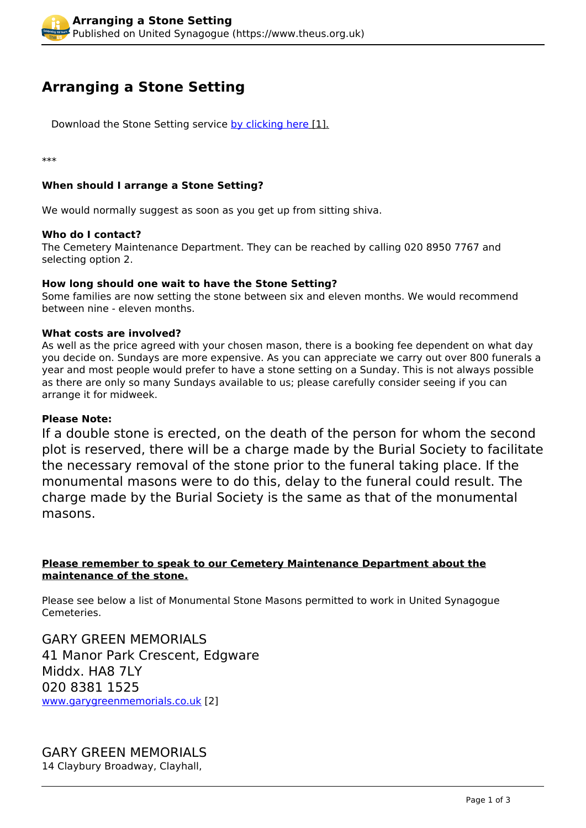# **Arranging a Stone Setting**

Download the Stone Setting service [by clicking here](https://www.theus.org.uk/sites/default/files/Stonesetting%20Service.pdf) [1].

\*\*\*

# **When should I arrange a Stone Setting?**

We would normally suggest as soon as you get up from sitting shiva.

#### **Who do I contact?**

The Cemetery Maintenance Department. They can be reached by calling 020 8950 7767 and selecting option 2.

# **How long should one wait to have the Stone Setting?**

Some families are now setting the stone between six and eleven months. We would recommend between nine - eleven months.

#### **What costs are involved?**

As well as the price agreed with your chosen mason, there is a booking fee dependent on what day you decide on. Sundays are more expensive. As you can appreciate we carry out over 800 funerals a year and most people would prefer to have a stone setting on a Sunday. This is not always possible as there are only so many Sundays available to us; please carefully consider seeing if you can arrange it for midweek.

#### **Please Note:**

If a double stone is erected, on the death of the person for whom the second plot is reserved, there will be a charge made by the Burial Society to facilitate the necessary removal of the stone prior to the funeral taking place. If the monumental masons were to do this, delay to the funeral could result. The charge made by the Burial Society is the same as that of the monumental masons.

# **Please remember to speak to our Cemetery Maintenance Department about the maintenance of the stone.**

Please see below a list of Monumental Stone Masons permitted to work in United Synagogue Cemeteries.

GARY GREEN MEMORIALS 41 Manor Park Crescent, Edgware Middx. HA8 7LY 020 8381 1525 [www.garygreenmemorials.co.uk](http://www.garygreenmemorials.co.uk/) [2]

GARY GREEN MEMORIALS 14 Claybury Broadway, Clayhall,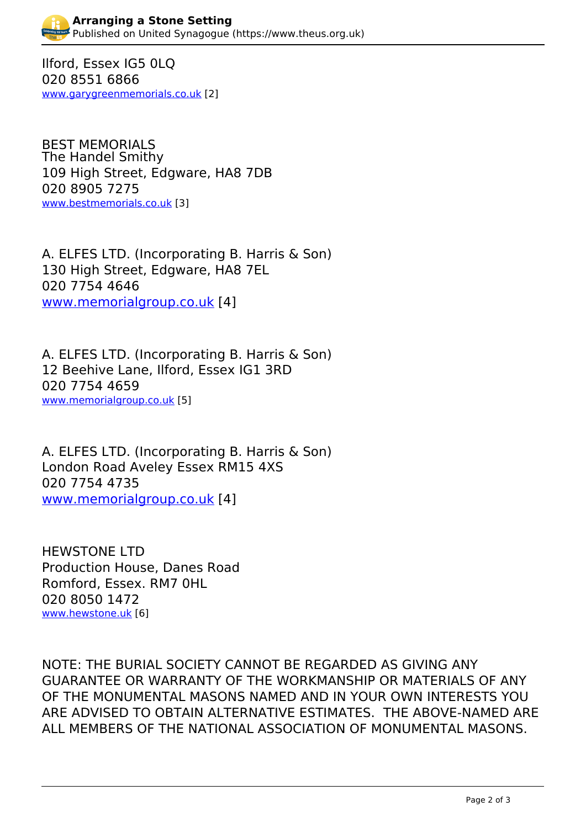Ilford, Essex IG5 0LQ 020 8551 6866 [www.garygreenmemorials.co.uk](http://www.garygreenmemorials.co.uk/) [2]

BEST MEMORIALS The Handel Smithy 109 High Street, Edgware, HA8 7DB 020 8905 7275 [www.bestmemorials.co.uk](http://www.bestmemorials.co.uk/) [3]

A. ELFES LTD. (Incorporating B. Harris & Son) 130 High Street, Edgware, HA8 7EL 020 7754 4646 [www.memorialgroup.co.uk](http://www.memorialgroup.co.uk) [4]

A. ELFES LTD. (Incorporating B. Harris & Son) 12 Beehive Lane, Ilford, Essex IG1 3RD 020 7754 4659 [www.memorialgroup.co.uk](http://www.memorialgroup.co.uk/) [5]

A. ELFES LTD. (Incorporating B. Harris & Son) London Road Aveley Essex RM15 4XS 020 7754 4735 [www.memorialgroup.co.uk](http://www.memorialgroup.co.uk) [4]

HEWSTONE LTD Production House, Danes Road Romford, Essex. RM7 0HL 020 8050 1472 [www.hewstone.uk](http://www.hewstone.uk/) [6]

NOTE: THE BURIAL SOCIETY CANNOT BE REGARDED AS GIVING ANY GUARANTEE OR WARRANTY OF THE WORKMANSHIP OR MATERIALS OF ANY OF THE MONUMENTAL MASONS NAMED AND IN YOUR OWN INTERESTS YOU ARE ADVISED TO OBTAIN ALTERNATIVE ESTIMATES. THE ABOVE-NAMED ARE ALL MEMBERS OF THE NATIONAL ASSOCIATION OF MONUMENTAL MASONS.